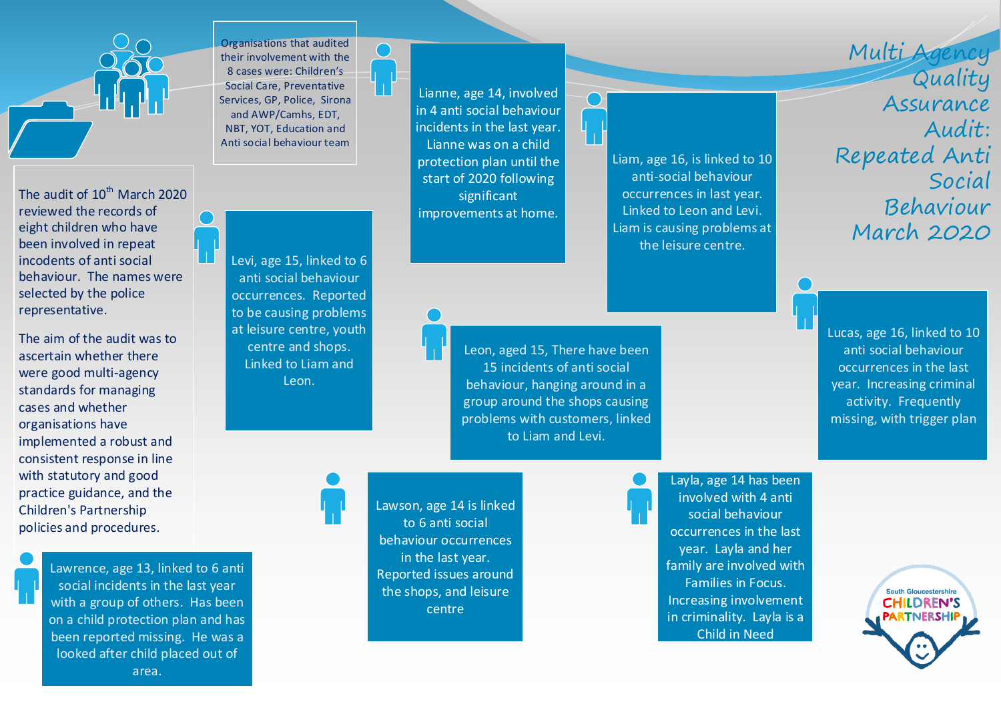The audit of  $10^{th}$  March 2020 reviewed the records of eight children who have been involved in repeat incodents of anti social behaviour. The names were selected by the police representative.

The aim of the audit was to ascertain whether there were good multi-agency standards for managing cases and whether organisations have implemented a robust and consistent response in line with statutory and good practice guidance, and the Children's Partnership policies and procedures.

> Lawrence, age 13, linked to 6 anti social incidents in the last year with a group of others. Has been on a child protection plan and has been reported missing. He was a looked after child placed out of area.

Organisations that audited their involvement with the 8 cases were: Children's Social Care, Preventative Services, GP, Police, Sirona and AWP/Camhs, EDT, NBT, YOT, Education and Anti social behaviour team

Пł

Levi, age 15, linked to 6 anti social behaviour occurrences. Reported to be causing problems at leisure centre, youth centre and shops. Linked to Liam and Leon.

Lianne, age 14, involved in 4 anti social behaviour incidents in the last year. Lianne was on a child protection plan until the

start of 2020 following significant improvements at home.

> Leon, aged 15, There have been 15 incidents of anti social behaviour, hanging around in a group around the shops causing problems with customers, linked to Liam and Levi.

Lawson, age 14 is linked to 6 anti social behaviour occurrences in the last year. Reported issues around the shops, and leisure centre

Liam, age 16, is linked to 10 anti-social behaviour occurrences in last year. Linked to Leon and Levi. Liam is causing problems at the leisure centre.

Multi Agency Quality Assurance Audit: Repeated Anti Social Behaviour March 2020

Lucas, age 16, linked to 10 anti social behaviour occurrences in the last year. Increasing criminal activity. Frequently missing, with trigger plan

Layla, age 14 has been involved with 4 anti social behaviour occurrences in the last year. Layla and her family are involved with Families in Focus. Increasing involvement in criminality. Layla is a Child in Need